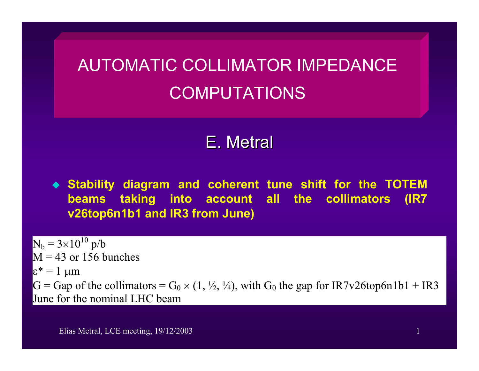# AUTOMATIC COLLIMATOR IMPEDANCE COMPUTATIONS

# E. Metral

 **Stability diagram and coherent tune shift for the TOTEM beams taking into account all the collimators (IR7 v26top6n1b1 and IR3 from June)**

 $N_b = 3 \times 10^{10}$  p/b  $M = 43$  or 156 bunches  $\varepsilon^* = 1$  μm  $G = Gap$  of the collimators =  $G_0 \times (1, \frac{1}{2}, \frac{1}{4})$ , with  $G_0$  the gap for IR7v26top6n1b1 + IR3 June for the nominal LHC beam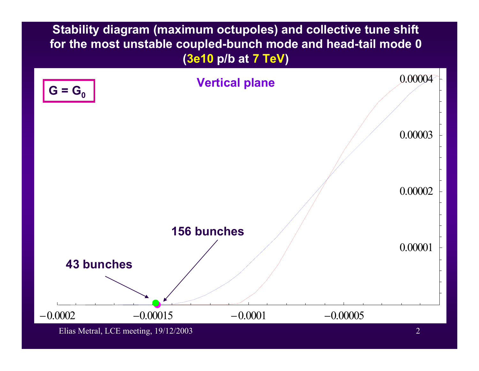**Stability diagram (maximum octupoles) and collective tune shift for the most unstable coupled-bunch mode and head-tail mode 0 (3e10 p/b at 7 TeV)** 



Elias Metral, LCE meeting, 19/12/2003 2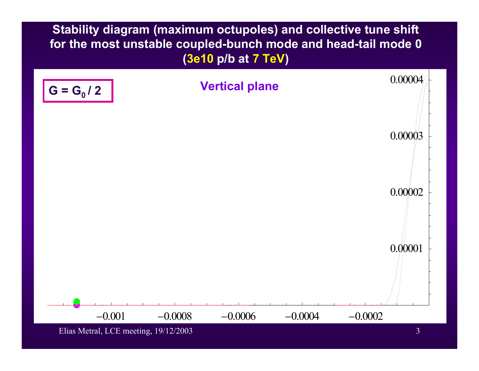**Stability diagram (maximum octupoles) and collective tune shift for the most unstable coupled-bunch mode and head-tail mode 0 (3e10 p/b at 7 TeV)** 



Elias Metral, LCE meeting, 19/12/2003 3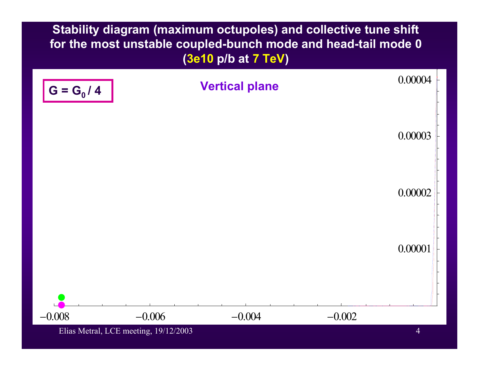**Stability diagram (maximum octupoles) and collective tune shift for the most unstable coupled-bunch mode and head-tail mode 0 (3e10 p/b at 7 TeV)**